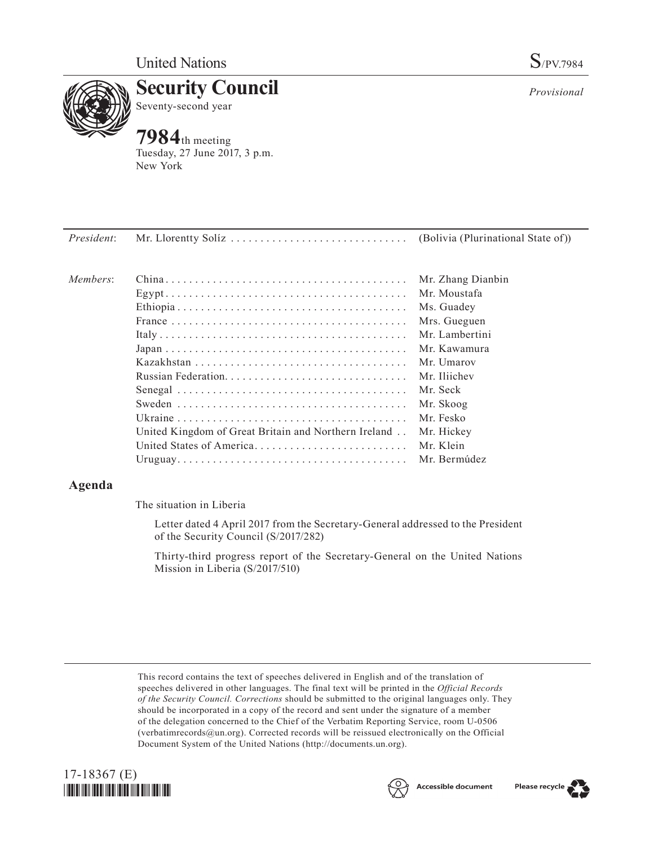

**Security Council** Seventy-second year

# **7984**th meeting

Tuesday, 27 June 2017, 3 p.m. New York

*Provisional*

| <i>President:</i> |                                                      |                   |
|-------------------|------------------------------------------------------|-------------------|
| Members:          |                                                      | Mr. Zhang Dianbin |
|                   |                                                      | Mr. Moustafa      |
|                   |                                                      | Ms. Guadey        |
|                   |                                                      | Mrs. Gueguen      |
|                   |                                                      | Mr. Lambertini    |
|                   |                                                      | Mr. Kawamura      |
|                   |                                                      | Mr. Umarov        |
|                   |                                                      | Mr. Iliichev      |
|                   |                                                      | Mr. Seck          |
|                   |                                                      | Mr. Skoog         |
|                   |                                                      | Mr. Fesko         |
|                   | United Kingdom of Great Britain and Northern Ireland | Mr. Hickey        |
|                   | United States of America                             | Mr. Klein         |
|                   |                                                      | Mr. Bermúdez      |

## **Agenda**

The situation in Liberia

Letter dated 4 April 2017 from the Secretary-General addressed to the President of the Security Council (S/2017/282)

Thirty-third progress report of the Secretary-General on the United Nations Mission in Liberia (S/2017/510)

This record contains the text of speeches delivered in English and of the translation of speeches delivered in other languages. The final text will be printed in the *Official Records of the Security Council. Corrections* should be submitted to the original languages only. They should be incorporated in a copy of the record and sent under the signature of a member of the delegation concerned to the Chief of the Verbatim Reporting Service, room U-0506 (verbatimrecords $@un.org$ ). Corrected records will be reissued electronically on the Official Document System of the United Nations [\(http://documents.un.org\)](http://documents.un.org).





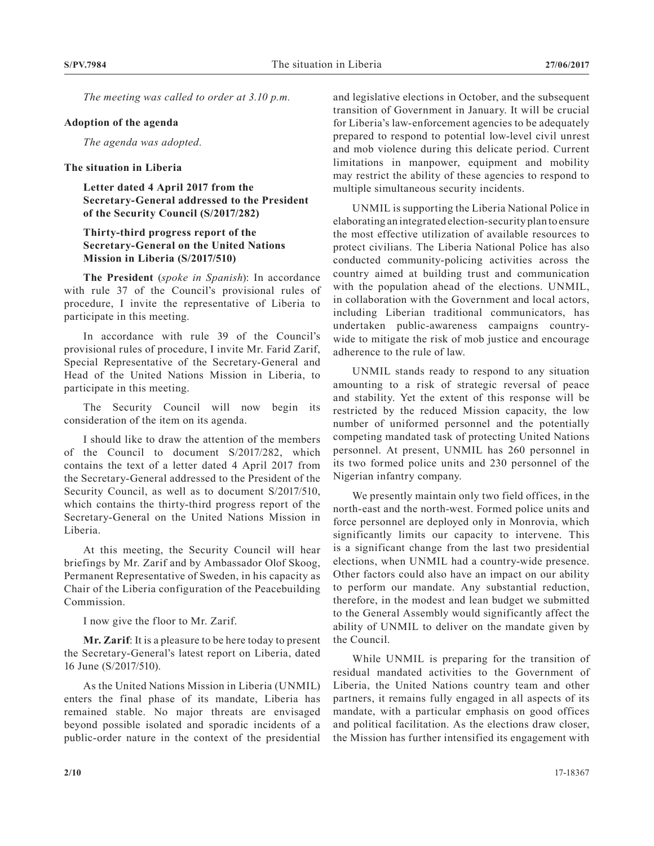*The meeting was called to order at 3.10 p.m.*

#### **Adoption of the agenda**

*The agenda was adopted.*

#### **The situation in Liberia**

**Letter dated 4 April 2017 from the Secretary-General addressed to the President of the Security Council (S/2017/282)**

### **Thirty-third progress report of the Secretary-General on the United Nations Mission in Liberia (S/2017/510)**

**The President** (*spoke in Spanish*): In accordance with rule 37 of the Council's provisional rules of procedure, I invite the representative of Liberia to participate in this meeting.

In accordance with rule 39 of the Council's provisional rules of procedure, I invite Mr. Farid Zarif, Special Representative of the Secretary-General and Head of the United Nations Mission in Liberia, to participate in this meeting.

The Security Council will now begin its consideration of the item on its agenda.

I should like to draw the attention of the members of the Council to document S/2017/282, which contains the text of a letter dated 4 April 2017 from the Secretary-General addressed to the President of the Security Council, as well as to document S/2017/510, which contains the thirty-third progress report of the Secretary-General on the United Nations Mission in Liberia.

At this meeting, the Security Council will hear briefings by Mr. Zarif and by Ambassador Olof Skoog, Permanent Representative of Sweden, in his capacity as Chair of the Liberia configuration of the Peacebuilding Commission.

I now give the floor to Mr. Zarif.

**Mr. Zarif**: It is a pleasure to be here today to present the Secretary-General's latest report on Liberia, dated 16 June (S/2017/510).

As the United Nations Mission in Liberia (UNMIL) enters the final phase of its mandate, Liberia has remained stable. No major threats are envisaged beyond possible isolated and sporadic incidents of a public-order nature in the context of the presidential

and legislative elections in October, and the subsequent transition of Government in January. It will be crucial for Liberia's law-enforcement agencies to be adequately prepared to respond to potential low-level civil unrest and mob violence during this delicate period. Current limitations in manpower, equipment and mobility may restrict the ability of these agencies to respond to multiple simultaneous security incidents.

UNMIL is supporting the Liberia National Police in elaborating an integrated election-security plan to ensure the most effective utilization of available resources to protect civilians. The Liberia National Police has also conducted community-policing activities across the country aimed at building trust and communication with the population ahead of the elections. UNMIL, in collaboration with the Government and local actors, including Liberian traditional communicators, has undertaken public-awareness campaigns countrywide to mitigate the risk of mob justice and encourage adherence to the rule of law.

UNMIL stands ready to respond to any situation amounting to a risk of strategic reversal of peace and stability. Yet the extent of this response will be restricted by the reduced Mission capacity, the low number of uniformed personnel and the potentially competing mandated task of protecting United Nations personnel. At present, UNMIL has 260 personnel in its two formed police units and 230 personnel of the Nigerian infantry company.

We presently maintain only two field offices, in the north-east and the north-west. Formed police units and force personnel are deployed only in Monrovia, which significantly limits our capacity to intervene. This is a significant change from the last two presidential elections, when UNMIL had a country-wide presence. Other factors could also have an impact on our ability to perform our mandate. Any substantial reduction, therefore, in the modest and lean budget we submitted to the General Assembly would significantly affect the ability of UNMIL to deliver on the mandate given by the Council.

While UNMIL is preparing for the transition of residual mandated activities to the Government of Liberia, the United Nations country team and other partners, it remains fully engaged in all aspects of its mandate, with a particular emphasis on good offices and political facilitation. As the elections draw closer, the Mission has further intensified its engagement with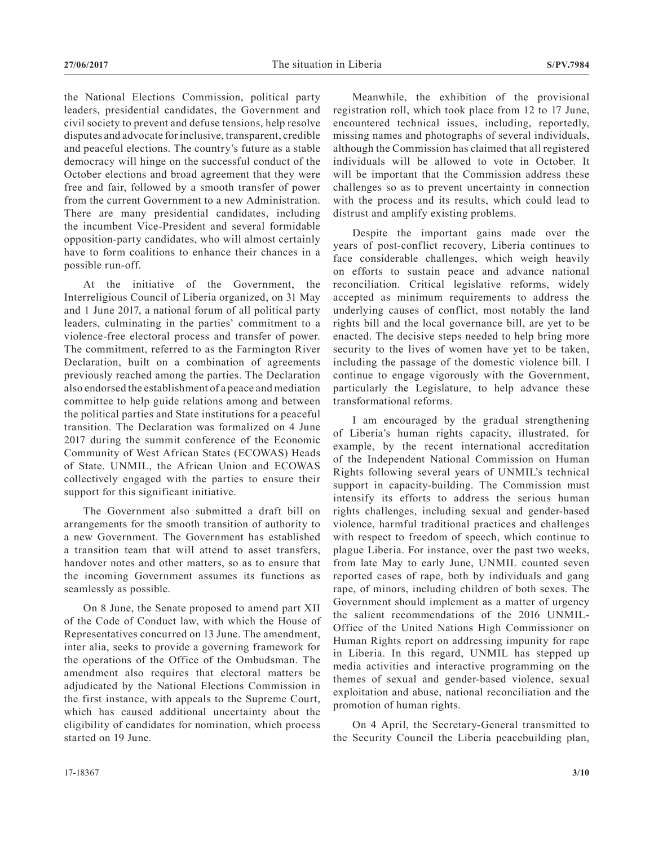the National Elections Commission, political party leaders, presidential candidates, the Government and civil society to prevent and defuse tensions, help resolve disputes and advocate for inclusive, transparent, credible and peaceful elections. The country's future as a stable democracy will hinge on the successful conduct of the October elections and broad agreement that they were free and fair, followed by a smooth transfer of power from the current Government to a new Administration. There are many presidential candidates, including the incumbent Vice-President and several formidable opposition-party candidates, who will almost certainly have to form coalitions to enhance their chances in a possible run-off.

At the initiative of the Government, the Interreligious Council of Liberia organized, on 31 May and 1 June 2017, a national forum of all political party leaders, culminating in the parties' commitment to a violence-free electoral process and transfer of power. The commitment, referred to as the Farmington River Declaration, built on a combination of agreements previously reached among the parties. The Declaration also endorsed the establishment of a peace and mediation committee to help guide relations among and between the political parties and State institutions for a peaceful transition. The Declaration was formalized on 4 June 2017 during the summit conference of the Economic Community of West African States (ECOWAS) Heads of State. UNMIL, the African Union and ECOWAS collectively engaged with the parties to ensure their support for this significant initiative.

The Government also submitted a draft bill on arrangements for the smooth transition of authority to a new Government. The Government has established a transition team that will attend to asset transfers, handover notes and other matters, so as to ensure that the incoming Government assumes its functions as seamlessly as possible.

On 8 June, the Senate proposed to amend part XII of the Code of Conduct law, with which the House of Representatives concurred on 13 June. The amendment, inter alia, seeks to provide a governing framework for the operations of the Office of the Ombudsman. The amendment also requires that electoral matters be adjudicated by the National Elections Commission in the first instance, with appeals to the Supreme Court, which has caused additional uncertainty about the eligibility of candidates for nomination, which process started on 19 June.

Meanwhile, the exhibition of the provisional registration roll, which took place from 12 to 17 June, encountered technical issues, including, reportedly, missing names and photographs of several individuals, although the Commission has claimed that all registered individuals will be allowed to vote in October. It will be important that the Commission address these challenges so as to prevent uncertainty in connection with the process and its results, which could lead to distrust and amplify existing problems.

Despite the important gains made over the years of post-conflict recovery, Liberia continues to face considerable challenges, which weigh heavily on efforts to sustain peace and advance national reconciliation. Critical legislative reforms, widely accepted as minimum requirements to address the underlying causes of conflict, most notably the land rights bill and the local governance bill, are yet to be enacted. The decisive steps needed to help bring more security to the lives of women have yet to be taken, including the passage of the domestic violence bill. I continue to engage vigorously with the Government, particularly the Legislature, to help advance these transformational reforms.

I am encouraged by the gradual strengthening of Liberia's human rights capacity, illustrated, for example, by the recent international accreditation of the Independent National Commission on Human Rights following several years of UNMIL's technical support in capacity-building. The Commission must intensify its efforts to address the serious human rights challenges, including sexual and gender-based violence, harmful traditional practices and challenges with respect to freedom of speech, which continue to plague Liberia. For instance, over the past two weeks, from late May to early June, UNMIL counted seven reported cases of rape, both by individuals and gang rape, of minors, including children of both sexes. The Government should implement as a matter of urgency the salient recommendations of the 2016 UNMIL-Office of the United Nations High Commissioner on Human Rights report on addressing impunity for rape in Liberia. In this regard, UNMIL has stepped up media activities and interactive programming on the themes of sexual and gender-based violence, sexual exploitation and abuse, national reconciliation and the promotion of human rights.

On 4 April, the Secretary-General transmitted to the Security Council the Liberia peacebuilding plan,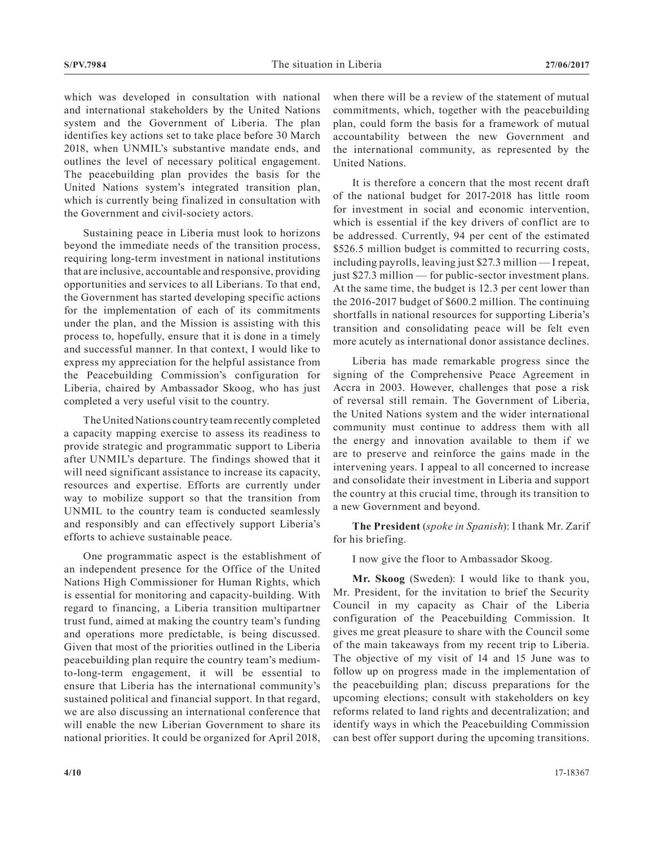which was developed in consultation with national and international stakeholders by the United Nations system and the Government of Liberia. The plan identifies key actions set to take place before 30 March 2018, when UNMIL's substantive mandate ends, and outlines the level of necessary political engagement. The peacebuilding plan provides the basis for the United Nations system's integrated transition plan, which is currently being finalized in consultation with the Government and civil-society actors.

Sustaining peace in Liberia must look to horizons beyond the immediate needs of the transition process, requiring long-term investment in national institutions that are inclusive, accountable and responsive, providing opportunities and services to all Liberians. To that end, the Government has started developing specific actions for the implementation of each of its commitments under the plan, and the Mission is assisting with this process to, hopefully, ensure that it is done in a timely and successful manner. In that context, I would like to express my appreciation for the helpful assistance from the Peacebuilding Commission's configuration for Liberia, chaired by Ambassador Skoog, who has just completed a very useful visit to the country.

The United Nations country team recently completed a capacity mapping exercise to assess its readiness to provide strategic and programmatic support to Liberia after UNMIL's departure. The findings showed that it will need significant assistance to increase its capacity, resources and expertise. Efforts are currently under way to mobilize support so that the transition from UNMIL to the country team is conducted seamlessly and responsibly and can effectively support Liberia's efforts to achieve sustainable peace.

One programmatic aspect is the establishment of an independent presence for the Office of the United Nations High Commissioner for Human Rights, which is essential for monitoring and capacity-building. With regard to financing, a Liberia transition multipartner trust fund, aimed at making the country team's funding and operations more predictable, is being discussed. Given that most of the priorities outlined in the Liberia peacebuilding plan require the country team's mediumto-long-term engagement, it will be essential to ensure that Liberia has the international community's sustained political and financial support. In that regard, we are also discussing an international conference that will enable the new Liberian Government to share its national priorities. It could be organized for April 2018,

when there will be a review of the statement of mutual commitments, which, together with the peacebuilding plan, could form the basis for a framework of mutual accountability between the new Government and the international community, as represented by the United Nations.

It is therefore a concern that the most recent draft of the national budget for 2017-2018 has little room for investment in social and economic intervention, which is essential if the key drivers of conflict are to be addressed. Currently, 94 per cent of the estimated \$526.5 million budget is committed to recurring costs, including payrolls, leaving just \$27.3 million — I repeat, just \$27.3 million — for public-sector investment plans. At the same time, the budget is 12.3 per cent lower than the 2016-2017 budget of \$600.2 million. The continuing shortfalls in national resources for supporting Liberia's transition and consolidating peace will be felt even more acutely as international donor assistance declines.

Liberia has made remarkable progress since the signing of the Comprehensive Peace Agreement in Accra in 2003. However, challenges that pose a risk of reversal still remain. The Government of Liberia, the United Nations system and the wider international community must continue to address them with all the energy and innovation available to them if we are to preserve and reinforce the gains made in the intervening years. I appeal to all concerned to increase and consolidate their investment in Liberia and support the country at this crucial time, through its transition to a new Government and beyond.

**The President** (*spoke in Spanish*): I thank Mr. Zarif for his briefing.

I now give the floor to Ambassador Skoog.

**Mr. Skoog** (Sweden): I would like to thank you, Mr. President, for the invitation to brief the Security Council in my capacity as Chair of the Liberia configuration of the Peacebuilding Commission. It gives me great pleasure to share with the Council some of the main takeaways from my recent trip to Liberia. The objective of my visit of 14 and 15 June was to follow up on progress made in the implementation of the peacebuilding plan; discuss preparations for the upcoming elections; consult with stakeholders on key reforms related to land rights and decentralization; and identify ways in which the Peacebuilding Commission can best offer support during the upcoming transitions.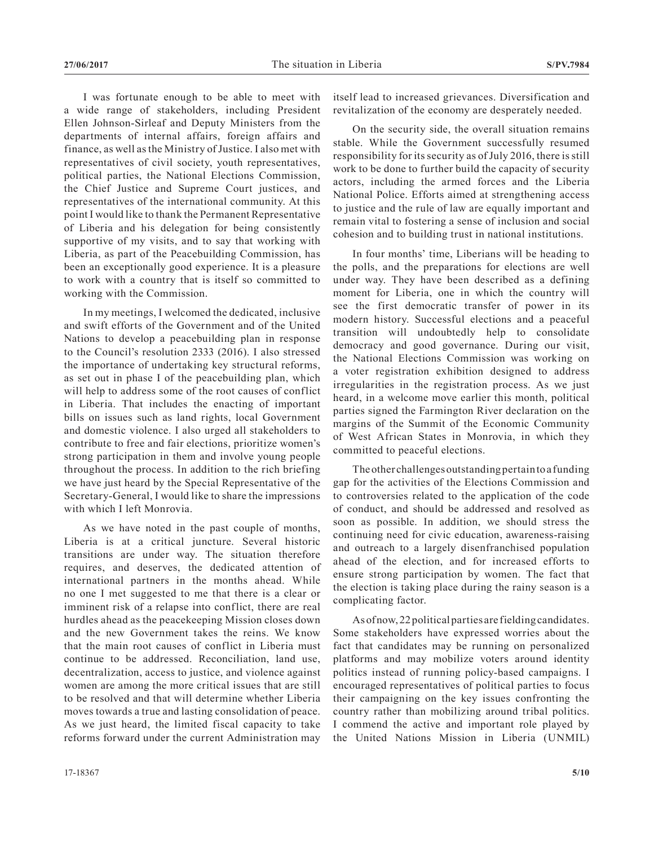I was fortunate enough to be able to meet with a wide range of stakeholders, including President Ellen Johnson-Sirleaf and Deputy Ministers from the departments of internal affairs, foreign affairs and finance, as well as the Ministry of Justice. I also met with representatives of civil society, youth representatives, political parties, the National Elections Commission, the Chief Justice and Supreme Court justices, and representatives of the international community. At this point I would like to thank the Permanent Representative of Liberia and his delegation for being consistently supportive of my visits, and to say that working with Liberia, as part of the Peacebuilding Commission, has been an exceptionally good experience. It is a pleasure to work with a country that is itself so committed to working with the Commission.

In my meetings, I welcomed the dedicated, inclusive and swift efforts of the Government and of the United Nations to develop a peacebuilding plan in response to the Council's resolution 2333 (2016). I also stressed the importance of undertaking key structural reforms, as set out in phase I of the peacebuilding plan, which will help to address some of the root causes of conflict in Liberia. That includes the enacting of important bills on issues such as land rights, local Government and domestic violence. I also urged all stakeholders to contribute to free and fair elections, prioritize women's strong participation in them and involve young people throughout the process. In addition to the rich briefing we have just heard by the Special Representative of the Secretary-General, I would like to share the impressions with which I left Monrovia.

As we have noted in the past couple of months, Liberia is at a critical juncture. Several historic transitions are under way. The situation therefore requires, and deserves, the dedicated attention of international partners in the months ahead. While no one I met suggested to me that there is a clear or imminent risk of a relapse into conflict, there are real hurdles ahead as the peacekeeping Mission closes down and the new Government takes the reins. We know that the main root causes of conflict in Liberia must continue to be addressed. Reconciliation, land use, decentralization, access to justice, and violence against women are among the more critical issues that are still to be resolved and that will determine whether Liberia moves towards a true and lasting consolidation of peace. As we just heard, the limited fiscal capacity to take reforms forward under the current Administration may

itself lead to increased grievances. Diversification and revitalization of the economy are desperately needed.

On the security side, the overall situation remains stable. While the Government successfully resumed responsibility for its security as of July 2016, there is still work to be done to further build the capacity of security actors, including the armed forces and the Liberia National Police. Efforts aimed at strengthening access to justice and the rule of law are equally important and remain vital to fostering a sense of inclusion and social cohesion and to building trust in national institutions.

In four months' time, Liberians will be heading to the polls, and the preparations for elections are well under way. They have been described as a defining moment for Liberia, one in which the country will see the first democratic transfer of power in its modern history. Successful elections and a peaceful transition will undoubtedly help to consolidate democracy and good governance. During our visit, the National Elections Commission was working on a voter registration exhibition designed to address irregularities in the registration process. As we just heard, in a welcome move earlier this month, political parties signed the Farmington River declaration on the margins of the Summit of the Economic Community of West African States in Monrovia, in which they committed to peaceful elections.

The other challenges outstanding pertain to a funding gap for the activities of the Elections Commission and to controversies related to the application of the code of conduct, and should be addressed and resolved as soon as possible. In addition, we should stress the continuing need for civic education, awareness-raising and outreach to a largely disenfranchised population ahead of the election, and for increased efforts to ensure strong participation by women. The fact that the election is taking place during the rainy season is a complicating factor.

As of now, 22 political parties are fielding candidates. Some stakeholders have expressed worries about the fact that candidates may be running on personalized platforms and may mobilize voters around identity politics instead of running policy-based campaigns. I encouraged representatives of political parties to focus their campaigning on the key issues confronting the country rather than mobilizing around tribal politics. I commend the active and important role played by the United Nations Mission in Liberia (UNMIL)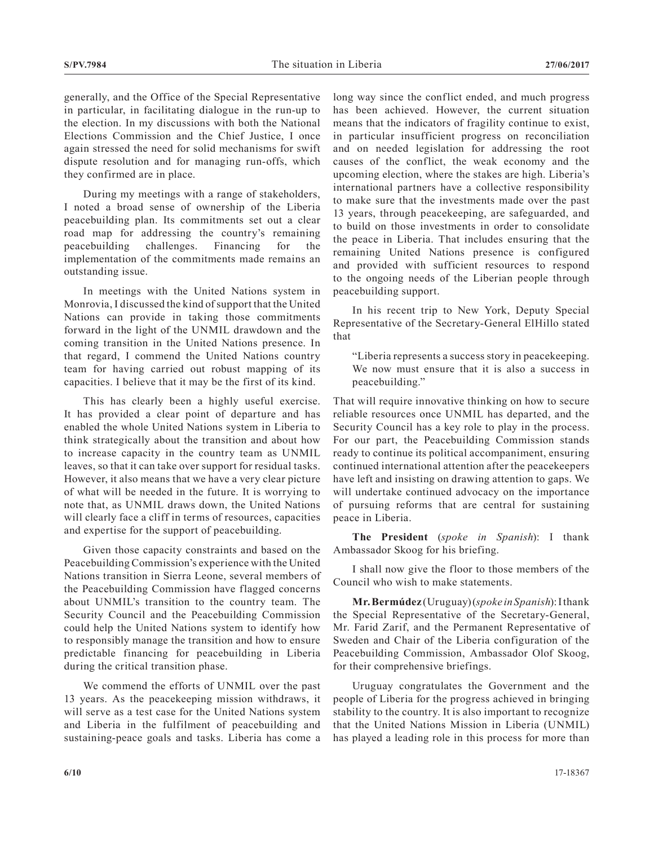generally, and the Office of the Special Representative in particular, in facilitating dialogue in the run-up to the election. In my discussions with both the National Elections Commission and the Chief Justice, I once again stressed the need for solid mechanisms for swift dispute resolution and for managing run-offs, which they confirmed are in place.

During my meetings with a range of stakeholders, I noted a broad sense of ownership of the Liberia peacebuilding plan. Its commitments set out a clear road map for addressing the country's remaining peacebuilding challenges. Financing for the implementation of the commitments made remains an outstanding issue.

In meetings with the United Nations system in Monrovia, I discussed the kind of support that the United Nations can provide in taking those commitments forward in the light of the UNMIL drawdown and the coming transition in the United Nations presence. In that regard, I commend the United Nations country team for having carried out robust mapping of its capacities. I believe that it may be the first of its kind.

This has clearly been a highly useful exercise. It has provided a clear point of departure and has enabled the whole United Nations system in Liberia to think strategically about the transition and about how to increase capacity in the country team as UNMIL leaves, so that it can take over support for residual tasks. However, it also means that we have a very clear picture of what will be needed in the future. It is worrying to note that, as UNMIL draws down, the United Nations will clearly face a cliff in terms of resources, capacities and expertise for the support of peacebuilding.

Given those capacity constraints and based on the Peacebuilding Commission's experience with the United Nations transition in Sierra Leone, several members of the Peacebuilding Commission have flagged concerns about UNMIL's transition to the country team. The Security Council and the Peacebuilding Commission could help the United Nations system to identify how to responsibly manage the transition and how to ensure predictable financing for peacebuilding in Liberia during the critical transition phase.

We commend the efforts of UNMIL over the past 13 years. As the peacekeeping mission withdraws, it will serve as a test case for the United Nations system and Liberia in the fulfilment of peacebuilding and sustaining-peace goals and tasks. Liberia has come a

long way since the conflict ended, and much progress has been achieved. However, the current situation means that the indicators of fragility continue to exist, in particular insufficient progress on reconciliation and on needed legislation for addressing the root causes of the conflict, the weak economy and the upcoming election, where the stakes are high. Liberia's international partners have a collective responsibility to make sure that the investments made over the past 13 years, through peacekeeping, are safeguarded, and to build on those investments in order to consolidate the peace in Liberia. That includes ensuring that the remaining United Nations presence is configured and provided with sufficient resources to respond to the ongoing needs of the Liberian people through peacebuilding support.

In his recent trip to New York, Deputy Special Representative of the Secretary-General ElHillo stated that

"Liberia represents a success story in peacekeeping. We now must ensure that it is also a success in peacebuilding."

That will require innovative thinking on how to secure reliable resources once UNMIL has departed, and the Security Council has a key role to play in the process. For our part, the Peacebuilding Commission stands ready to continue its political accompaniment, ensuring continued international attention after the peacekeepers have left and insisting on drawing attention to gaps. We will undertake continued advocacy on the importance of pursuing reforms that are central for sustaining peace in Liberia.

**The President** (*spoke in Spanish*): I thank Ambassador Skoog for his briefing.

I shall now give the floor to those members of the Council who wish to make statements.

**Mr. Bermúdez** (Uruguay) (*spoke in Spanish*): I thank the Special Representative of the Secretary-General, Mr. Farid Zarif, and the Permanent Representative of Sweden and Chair of the Liberia configuration of the Peacebuilding Commission, Ambassador Olof Skoog, for their comprehensive briefings.

Uruguay congratulates the Government and the people of Liberia for the progress achieved in bringing stability to the country. It is also important to recognize that the United Nations Mission in Liberia (UNMIL) has played a leading role in this process for more than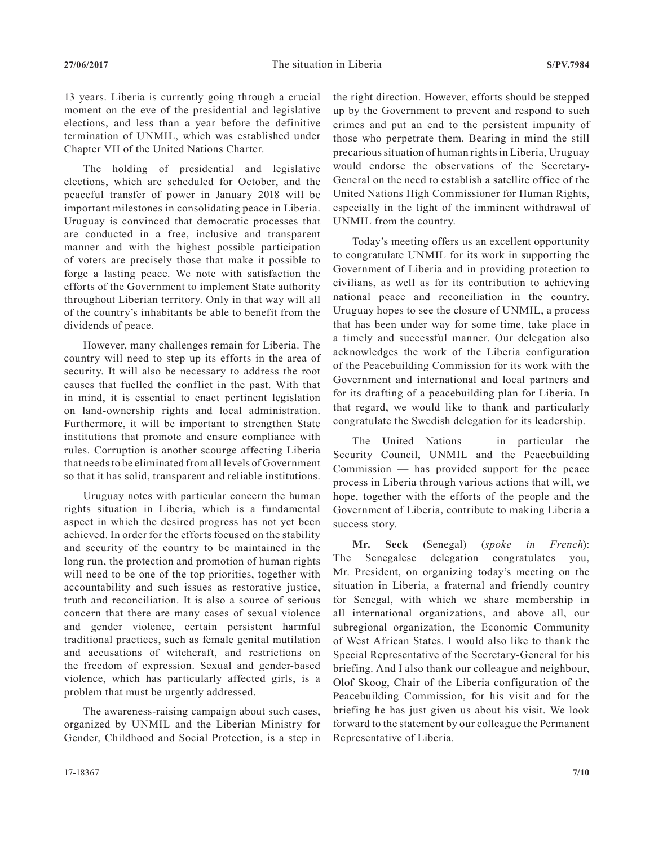13 years. Liberia is currently going through a crucial moment on the eve of the presidential and legislative elections, and less than a year before the definitive termination of UNMIL, which was established under Chapter VII of the United Nations Charter.

The holding of presidential and legislative elections, which are scheduled for October, and the peaceful transfer of power in January 2018 will be important milestones in consolidating peace in Liberia. Uruguay is convinced that democratic processes that are conducted in a free, inclusive and transparent manner and with the highest possible participation of voters are precisely those that make it possible to forge a lasting peace. We note with satisfaction the efforts of the Government to implement State authority throughout Liberian territory. Only in that way will all of the country's inhabitants be able to benefit from the dividends of peace.

However, many challenges remain for Liberia. The country will need to step up its efforts in the area of security. It will also be necessary to address the root causes that fuelled the conflict in the past. With that in mind, it is essential to enact pertinent legislation on land-ownership rights and local administration. Furthermore, it will be important to strengthen State institutions that promote and ensure compliance with rules. Corruption is another scourge affecting Liberia that needs to be eliminated from all levels of Government so that it has solid, transparent and reliable institutions.

Uruguay notes with particular concern the human rights situation in Liberia, which is a fundamental aspect in which the desired progress has not yet been achieved. In order for the efforts focused on the stability and security of the country to be maintained in the long run, the protection and promotion of human rights will need to be one of the top priorities, together with accountability and such issues as restorative justice, truth and reconciliation. It is also a source of serious concern that there are many cases of sexual violence and gender violence, certain persistent harmful traditional practices, such as female genital mutilation and accusations of witchcraft, and restrictions on the freedom of expression. Sexual and gender-based violence, which has particularly affected girls, is a problem that must be urgently addressed.

The awareness-raising campaign about such cases, organized by UNMIL and the Liberian Ministry for Gender, Childhood and Social Protection, is a step in the right direction. However, efforts should be stepped up by the Government to prevent and respond to such crimes and put an end to the persistent impunity of those who perpetrate them. Bearing in mind the still precarious situation of human rights in Liberia, Uruguay would endorse the observations of the Secretary-General on the need to establish a satellite office of the United Nations High Commissioner for Human Rights, especially in the light of the imminent withdrawal of UNMIL from the country.

Today's meeting offers us an excellent opportunity to congratulate UNMIL for its work in supporting the Government of Liberia and in providing protection to civilians, as well as for its contribution to achieving national peace and reconciliation in the country. Uruguay hopes to see the closure of UNMIL, a process that has been under way for some time, take place in a timely and successful manner. Our delegation also acknowledges the work of the Liberia configuration of the Peacebuilding Commission for its work with the Government and international and local partners and for its drafting of a peacebuilding plan for Liberia. In that regard, we would like to thank and particularly congratulate the Swedish delegation for its leadership.

The United Nations — in particular the Security Council, UNMIL and the Peacebuilding Commission — has provided support for the peace process in Liberia through various actions that will, we hope, together with the efforts of the people and the Government of Liberia, contribute to making Liberia a success story.

**Mr. Seck** (Senegal) (*spoke in French*): The Senegalese delegation congratulates you, Mr. President, on organizing today's meeting on the situation in Liberia, a fraternal and friendly country for Senegal, with which we share membership in all international organizations, and above all, our subregional organization, the Economic Community of West African States. I would also like to thank the Special Representative of the Secretary-General for his briefing. And I also thank our colleague and neighbour, Olof Skoog, Chair of the Liberia configuration of the Peacebuilding Commission, for his visit and for the briefing he has just given us about his visit. We look forward to the statement by our colleague the Permanent Representative of Liberia.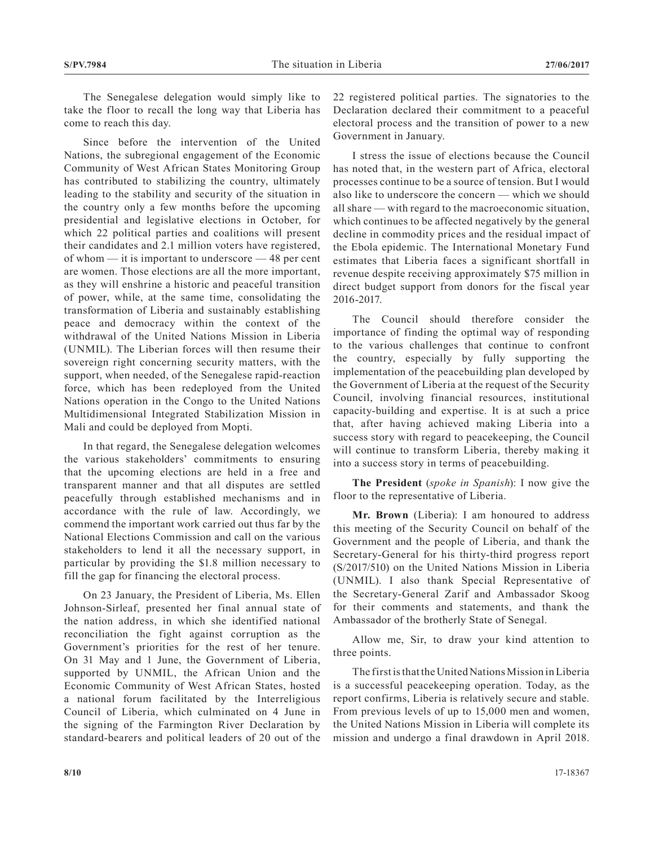The Senegalese delegation would simply like to take the floor to recall the long way that Liberia has come to reach this day.

Since before the intervention of the United Nations, the subregional engagement of the Economic Community of West African States Monitoring Group has contributed to stabilizing the country, ultimately leading to the stability and security of the situation in the country only a few months before the upcoming presidential and legislative elections in October, for which 22 political parties and coalitions will present their candidates and 2.1 million voters have registered, of whom — it is important to underscore — 48 per cent are women. Those elections are all the more important, as they will enshrine a historic and peaceful transition of power, while, at the same time, consolidating the transformation of Liberia and sustainably establishing peace and democracy within the context of the withdrawal of the United Nations Mission in Liberia (UNMIL). The Liberian forces will then resume their sovereign right concerning security matters, with the support, when needed, of the Senegalese rapid-reaction force, which has been redeployed from the United Nations operation in the Congo to the United Nations Multidimensional Integrated Stabilization Mission in Mali and could be deployed from Mopti.

In that regard, the Senegalese delegation welcomes the various stakeholders' commitments to ensuring that the upcoming elections are held in a free and transparent manner and that all disputes are settled peacefully through established mechanisms and in accordance with the rule of law. Accordingly, we commend the important work carried out thus far by the National Elections Commission and call on the various stakeholders to lend it all the necessary support, in particular by providing the \$1.8 million necessary to fill the gap for financing the electoral process.

On 23 January, the President of Liberia, Ms. Ellen Johnson-Sirleaf, presented her final annual state of the nation address, in which she identified national reconciliation the fight against corruption as the Government's priorities for the rest of her tenure. On 31 May and 1 June, the Government of Liberia, supported by UNMIL, the African Union and the Economic Community of West African States, hosted a national forum facilitated by the Interreligious Council of Liberia, which culminated on 4 June in the signing of the Farmington River Declaration by standard-bearers and political leaders of 20 out of the

22 registered political parties. The signatories to the Declaration declared their commitment to a peaceful electoral process and the transition of power to a new Government in January.

I stress the issue of elections because the Council has noted that, in the western part of Africa, electoral processes continue to be a source of tension. But I would also like to underscore the concern — which we should all share — with regard to the macroeconomic situation, which continues to be affected negatively by the general decline in commodity prices and the residual impact of the Ebola epidemic. The International Monetary Fund estimates that Liberia faces a significant shortfall in revenue despite receiving approximately \$75 million in direct budget support from donors for the fiscal year 2016-2017.

The Council should therefore consider the importance of finding the optimal way of responding to the various challenges that continue to confront the country, especially by fully supporting the implementation of the peacebuilding plan developed by the Government of Liberia at the request of the Security Council, involving financial resources, institutional capacity-building and expertise. It is at such a price that, after having achieved making Liberia into a success story with regard to peacekeeping, the Council will continue to transform Liberia, thereby making it into a success story in terms of peacebuilding.

**The President** (*spoke in Spanish*): I now give the floor to the representative of Liberia.

**Mr. Brown** (Liberia): I am honoured to address this meeting of the Security Council on behalf of the Government and the people of Liberia, and thank the Secretary-General for his thirty-third progress report (S/2017/510) on the United Nations Mission in Liberia (UNMIL). I also thank Special Representative of the Secretary-General Zarif and Ambassador Skoog for their comments and statements, and thank the Ambassador of the brotherly State of Senegal.

Allow me, Sir, to draw your kind attention to three points.

The first is that the United Nations Mission in Liberia is a successful peacekeeping operation. Today, as the report confirms, Liberia is relatively secure and stable. From previous levels of up to 15,000 men and women, the United Nations Mission in Liberia will complete its mission and undergo a final drawdown in April 2018.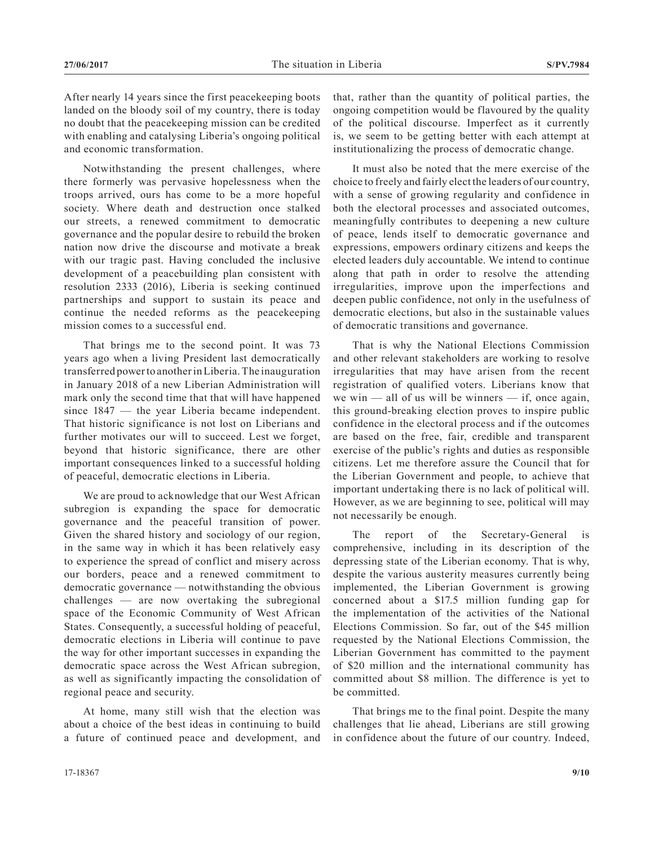After nearly 14 years since the first peacekeeping boots landed on the bloody soil of my country, there is today no doubt that the peacekeeping mission can be credited with enabling and catalysing Liberia's ongoing political and economic transformation.

Notwithstanding the present challenges, where there formerly was pervasive hopelessness when the troops arrived, ours has come to be a more hopeful society. Where death and destruction once stalked our streets, a renewed commitment to democratic governance and the popular desire to rebuild the broken nation now drive the discourse and motivate a break with our tragic past. Having concluded the inclusive development of a peacebuilding plan consistent with resolution 2333 (2016), Liberia is seeking continued partnerships and support to sustain its peace and continue the needed reforms as the peacekeeping mission comes to a successful end.

That brings me to the second point. It was 73 years ago when a living President last democratically transferred power to another in Liberia. The inauguration in January 2018 of a new Liberian Administration will mark only the second time that that will have happened since 1847 — the year Liberia became independent. That historic significance is not lost on Liberians and further motivates our will to succeed. Lest we forget, beyond that historic significance, there are other important consequences linked to a successful holding of peaceful, democratic elections in Liberia.

We are proud to acknowledge that our West African subregion is expanding the space for democratic governance and the peaceful transition of power. Given the shared history and sociology of our region, in the same way in which it has been relatively easy to experience the spread of conflict and misery across our borders, peace and a renewed commitment to democratic governance — notwithstanding the obvious challenges — are now overtaking the subregional space of the Economic Community of West African States. Consequently, a successful holding of peaceful, democratic elections in Liberia will continue to pave the way for other important successes in expanding the democratic space across the West African subregion, as well as significantly impacting the consolidation of regional peace and security.

At home, many still wish that the election was about a choice of the best ideas in continuing to build a future of continued peace and development, and that, rather than the quantity of political parties, the ongoing competition would be flavoured by the quality of the political discourse. Imperfect as it currently is, we seem to be getting better with each attempt at institutionalizing the process of democratic change.

It must also be noted that the mere exercise of the choice to freely and fairly elect the leaders of our country, with a sense of growing regularity and confidence in both the electoral processes and associated outcomes, meaningfully contributes to deepening a new culture of peace, lends itself to democratic governance and expressions, empowers ordinary citizens and keeps the elected leaders duly accountable. We intend to continue along that path in order to resolve the attending irregularities, improve upon the imperfections and deepen public confidence, not only in the usefulness of democratic elections, but also in the sustainable values of democratic transitions and governance.

That is why the National Elections Commission and other relevant stakeholders are working to resolve irregularities that may have arisen from the recent registration of qualified voters. Liberians know that we win — all of us will be winners — if, once again, this ground-breaking election proves to inspire public confidence in the electoral process and if the outcomes are based on the free, fair, credible and transparent exercise of the public's rights and duties as responsible citizens. Let me therefore assure the Council that for the Liberian Government and people, to achieve that important undertaking there is no lack of political will. However, as we are beginning to see, political will may not necessarily be enough.

The report of the Secretary-General is comprehensive, including in its description of the depressing state of the Liberian economy. That is why, despite the various austerity measures currently being implemented, the Liberian Government is growing concerned about a \$17.5 million funding gap for the implementation of the activities of the National Elections Commission. So far, out of the \$45 million requested by the National Elections Commission, the Liberian Government has committed to the payment of \$20 million and the international community has committed about \$8 million. The difference is yet to be committed.

That brings me to the final point. Despite the many challenges that lie ahead, Liberians are still growing in confidence about the future of our country. Indeed,